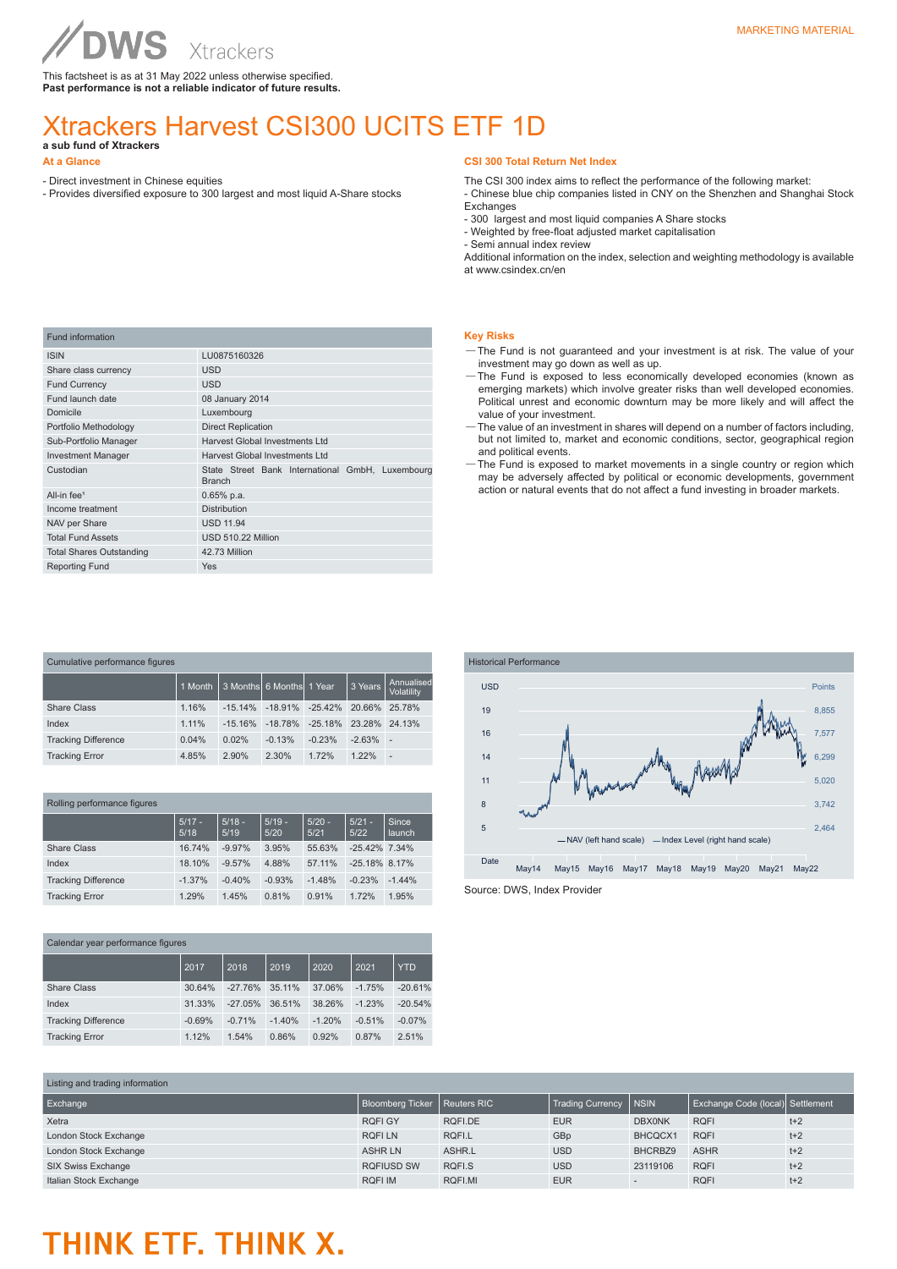This factsheet is as at 31 May 2022 unless otherwise specified. **Past performance is not a reliable indicator of future results.**

### Xtrackers Harvest CSI300 UCITS ETF 1D **a sub fund of Xtrackers**

#### **At a Glance**

- Direct investment in Chinese equities - Provides diversified exposure to 300 largest and most liquid A-Share stocks

#### **CSI 300 Total Return Net Index**

The CSI 300 index aims to reflect the performance of the following market:

- Chinese blue chip companies listed in CNY on the Shenzhen and Shanghai Stock Exchanges

- 300 largest and most liquid companies A Share stocks
- Weighted by free-float adjusted market capitalisation
- Semi annual index review

Additional information on the index, selection and weighting methodology is available at www.csindex.cn/en

| <b>Fund information</b>         |                                                                   |  |  |  |  |  |
|---------------------------------|-------------------------------------------------------------------|--|--|--|--|--|
| <b>ISIN</b>                     | LU0875160326                                                      |  |  |  |  |  |
| Share class currency            | <b>USD</b>                                                        |  |  |  |  |  |
| <b>Fund Currency</b>            | <b>USD</b>                                                        |  |  |  |  |  |
| Fund launch date                | 08 January 2014                                                   |  |  |  |  |  |
| Domicile                        | Luxembourg                                                        |  |  |  |  |  |
| Portfolio Methodology           | <b>Direct Replication</b>                                         |  |  |  |  |  |
| Sub-Portfolio Manager           | Harvest Global Investments Ltd                                    |  |  |  |  |  |
| <b>Investment Manager</b>       | Harvest Global Investments Ltd                                    |  |  |  |  |  |
| Custodian                       | State Street Bank International GmbH, Luxembourg<br><b>Branch</b> |  |  |  |  |  |
| All-in fee <sup>1</sup>         | $0.65%$ p.a.                                                      |  |  |  |  |  |
| Income treatment                | <b>Distribution</b>                                               |  |  |  |  |  |
| NAV per Share                   | <b>USD 11.94</b>                                                  |  |  |  |  |  |
| <b>Total Fund Assets</b>        | USD 510.22 Million                                                |  |  |  |  |  |
| <b>Total Shares Outstanding</b> | 42.73 Million                                                     |  |  |  |  |  |
| <b>Reporting Fund</b>           | Yes                                                               |  |  |  |  |  |

|  | - 1<br>۰. |
|--|-----------|
|  |           |

- and is not guaranteed and your investment is at risk. The value of your investment may go down as well as up.
- —The Fund is exposed to less economically developed economies (known as emerging markets) which involve greater risks than well developed economies. Political unrest and economic downturn may be more likely and will affect the value of your investment.
- —The value of an investment in shares will depend on a number of factors including, but not limited to, market and economic conditions, sector, geographical region and political events.
- —The Fund is exposed to market movements in a single country or region which may be adversely affected by political or economic developments, government action or natural events that do not affect a fund investing in broader markets.

| Cumulative performance figures |         |           |                          |           |          |                          |
|--------------------------------|---------|-----------|--------------------------|-----------|----------|--------------------------|
|                                | 1 Month |           | 3 Months 6 Months 1 Year |           | 3 Years  | Annualised<br>Volatility |
| Share Class                    | 1.16%   | $-1514%$  | $-18.91\% -25.42\%$      |           | 20.66%   | 25.78%                   |
| Index                          | 1.11%   | $-15.16%$ | $-18.78\%$               | $-25.18%$ | 23.28%   | 24.13%                   |
| <b>Tracking Difference</b>     | 0.04%   | 0.02%     | $-0.13%$                 | $-0.23%$  | $-2.63%$ | ÷                        |
| <b>Tracking Error</b>          | 4.85%   | 2.90%     | 2.30%                    | 1.72%     | 122%     | ٠                        |

|  |  | Rolling performance figures |
|--|--|-----------------------------|
|--|--|-----------------------------|

|                            | $5/17 -$<br>5/18 | $5/18 -$<br>5/19 | $5/19 -$<br>5/20 | $5/20 -$<br>5/21 | $5/21 -$<br>5/22 | Since<br>launch |
|----------------------------|------------------|------------------|------------------|------------------|------------------|-----------------|
| <b>Share Class</b>         | 16.74%           | $-9.97%$         | 3.95%            | 55.63%           | $-25.42\%$ 7.34% |                 |
| Index                      | 18.10%           | $-9.57%$         | 4.88%            | 57.11%           | $-25.18\%$ 8.17% |                 |
| <b>Tracking Difference</b> | $-1.37%$         | $-0.40%$         | $-0.93%$         | $-1.48%$         | $-0.23%$         | $-1.44%$        |
| <b>Tracking Error</b>      | 1.29%            | 1.45%            | 0.81%            | 0.91%            | 1.72%            | 1.95%           |

Calendar year performance figures 2017 2018 2019 2020 2021 YTD Share Class 30.64% -27.76% 35.11% 37.06% -1.75% -20.61% Index 31.33% -27.05% 36.51% 38.26% -1.23% -20.54% Tracking Difference -0.69% -0.71% -1.40% -1.20% -0.51% -0.07% Tracking Error 1.12% 1.54% 0.86% 0.92% 0.87% 2.51%



| Listing and trading information |                                |         |                         |                          |                                  |       |
|---------------------------------|--------------------------------|---------|-------------------------|--------------------------|----------------------------------|-------|
| Exchange                        | Bloomberg Ticker   Reuters RIC |         | <b>Trading Currency</b> | <b>NSIN</b>              | Exchange Code (local) Settlement |       |
| Xetra                           | <b>RQFI GY</b>                 | RQFI.DE | <b>EUR</b>              | <b>DBX0NK</b>            | <b>RQFI</b>                      | $t+2$ |
| London Stock Exchange           | <b>ROFILN</b>                  | RQFI.L  | GBp                     | BHCQCX1                  | <b>RQFI</b>                      | $t+2$ |
| London Stock Exchange           | <b>ASHRLN</b>                  | ASHR.L  | <b>USD</b>              | BHCRBZ9                  | <b>ASHR</b>                      | $t+2$ |
| SIX Swiss Exchange              | <b>RQFIUSD SW</b>              | RQFI.S  | <b>USD</b>              | 23119106                 | <b>RQFI</b>                      | $t+2$ |
| Italian Stock Exchange          | <b>RQFI IM</b>                 | RQFI.MI | <b>EUR</b>              | $\overline{\phantom{a}}$ | <b>RQFI</b>                      | $t+2$ |

## THINK ETF. THINK X.